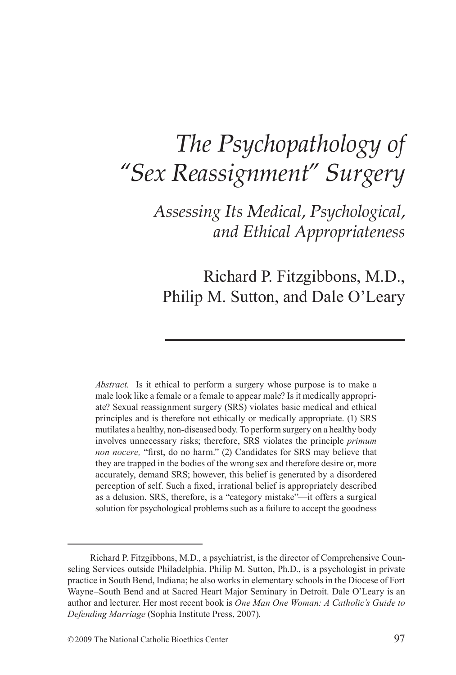# *The Psychopathology of "Sex Reassignment" Surgery*

*Assessing Its Medical, Psychological, and Ethical Appropriateness* 

Richard P. Fitzgibbons, M.D., Philip M. Sutton, and Dale O'Leary

*Abstract.* Is it ethical to perform a surgery whose purpose is to make a male look like a female or a female to appear male? Is it medically appropriate? Sexual reassignment surgery (SRS) violates basic medical and ethical principles and is therefore not ethically or medically appropriate. (1) SRS mutilates a healthy, non-diseased body. To perform surgery on a healthy body involves unnecessary risks; therefore, SRS violates the principle *primum non nocere,* "first, do no harm." (2) Candidates for SRS may believe that they are trapped in the bodies of the wrong sex and therefore desire or, more accurately, demand SRS; however, this belief is generated by a disordered perception of self. Such a fixed, irrational belief is appropriately described as a delusion. SRS, therefore, is a "category mistake"—it offers a surgical solution for psychological problems such as a failure to accept the goodness

Richard P. Fitzgibbons, M.D., a psychiatrist, is the director of Comprehensive Counseling Services outside Philadelphia. Philip M. Sutton, Ph.D., is a psychologist in private practice in South Bend, Indiana; he also works in elementary schools in the Diocese of Fort Wayne–South Bend and at Sacred Heart Major Seminary in Detroit. Dale O'Leary is an author and lecturer. Her most recent book is *One Man One Woman: A Catholic's Guide to Defending Marriage* (Sophia Institute Press, 2007).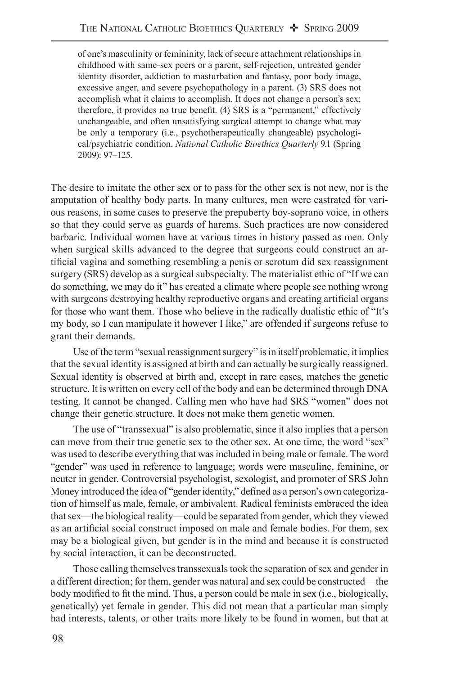of one's masculinity or femininity, lack of secure attachment relationships in childhood with same-sex peers or a parent, self-rejection, untreated gender identity disorder, addiction to masturbation and fantasy, poor body image, excessive anger, and severe psychopathology in a parent. (3) SRS does not accomplish what it claims to accomplish. It does not change a person's sex; therefore, it provides no true benefit. (4) SRS is a "permanent," effectively unchangeable, and often unsatisfying surgical attempt to change what may be only a temporary (i.e., psychotherapeutically changeable) psychological/psychiatric condition. *National Catholic Bioethics Quarterly* 9.1 (Spring 2009): 97–125.

The desire to imitate the other sex or to pass for the other sex is not new, nor is the amputation of healthy body parts. In many cultures, men were castrated for various reasons, in some cases to preserve the prepuberty boy-soprano voice, in others so that they could serve as guards of harems. Such practices are now considered barbaric. Individual women have at various times in history passed as men. Only when surgical skills advanced to the degree that surgeons could construct an artificial vagina and something resembling a penis or scrotum did sex reassignment surgery (SRS) develop as a surgical subspecialty. The materialist ethic of "If we can do something, we may do it" has created a climate where people see nothing wrong with surgeons destroying healthy reproductive organs and creating artificial organs for those who want them. Those who believe in the radically dualistic ethic of "It's my body, so I can manipulate it however I like," are offended if surgeons refuse to grant their demands.

Use of the term "sexual reassignment surgery" is in itself problematic, it implies that the sexual identity is assigned at birth and can actually be surgically reassigned. Sexual identity is observed at birth and, except in rare cases, matches the genetic structure. It is written on every cell of the body and can be determined through DNA testing. It cannot be changed. Calling men who have had SRS "women" does not change their genetic structure. It does not make them genetic women.

The use of "transsexual" is also problematic, since it also implies that a person can move from their true genetic sex to the other sex. At one time, the word "sex" was used to describe everything that wasincluded in being male or female. The word "gender" was used in reference to language; words were masculine, feminine, or neuter in gender. Controversial psychologist, sexologist, and promoter of SRS John Money introduced the idea of "gender identity," defined as a person's own categorization of himself as male, female, or ambivalent. Radical feminists embraced the idea that sex—the biological reality—could be separated from gender, which they viewed as an artificial social construct imposed on male and female bodies. For them, sex may be a biological given, but gender is in the mind and because it is constructed by social interaction, it can be deconstructed.

Those calling themselves transsexuals took the separation of sex and gender in a different direction; for them, gender was natural and sex could be constructed—the body modified to fit the mind. Thus, a person could be male in sex (i.e., biologically, genetically) yet female in gender. This did not mean that a particular man simply had interests, talents, or other traits more likely to be found in women, but that at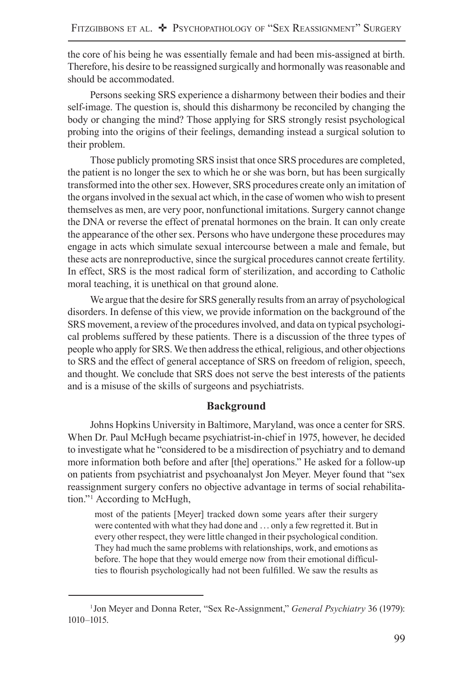the core of his being he was essentially female and had been mis-assigned at birth. Therefore, his desire to be reassigned surgically and hormonally was reasonable and should be accommodated.

Persons seeking SRS experience a disharmony between their bodies and their self-image. The question is, should this disharmony be reconciled by changing the body or changing the mind? Those applying for SRS strongly resist psychological probing into the origins of their feelings, demanding instead a surgical solution to their problem.

Those publicly promoting SRS insist that once SRS procedures are completed, the patient is no longer the sex to which he or she was born, but has been surgically transformed into the other sex. However, SRS procedures create only an imitation of the organsinvolved in the sexual act which, in the case of women who wish to present themselves as men, are very poor, nonfunctional imitations. Surgery cannot change the DNA or reverse the effect of prenatal hormones on the brain. It can only create the appearance of the other sex. Persons who have undergone these procedures may engage in acts which simulate sexual intercourse between a male and female, but these acts are nonreproductive, since the surgical procedures cannot create fertility. In effect, SRS is the most radical form of sterilization, and according to Catholic moral teaching, it is unethical on that ground alone.

We argue that the desire for SRS generally results from an array of psychological disorders. In defense of this view, we provide information on the background of the SRS movement, a review of the procedures involved, and data on typical psychological problems suffered by these patients. There is a discussion of the three types of people who apply for SRS. We then address the ethical, religious, and other objections to SRS and the effect of general acceptance of SRS on freedom of religion, speech, and thought. We conclude that SRS does not serve the best interests of the patients and is a misuse of the skills of surgeons and psychiatrists.

# **Background**

Johns Hopkins University in Baltimore, Maryland, was once a center for SRS. When Dr. Paul McHugh became psychiatrist-in-chief in 1975, however, he decided to investigate what he "considered to be a misdirection of psychiatry and to demand more information both before and after [the] operations." He asked for a follow-up on patients from psychiatrist and psychoanalyst Jon Meyer. Meyer found that "sex reassignment surgery confers no objective advantage in terms of social rehabilitation."<sup>1</sup> According to McHugh,

most of the patients [Meyer] tracked down some years after their surgery were contented with what they had done and . . . only a few regretted it. But in every other respect, they were little changed in their psychological condition. They had much the same problems with relationships, work, and emotions as before. The hope that they would emerge now from their emotional difficulties to flourish psychologically had not been fulfilled. We saw the results as

<sup>1</sup>Jon Meyer and Donna Reter, "Sex Re-Assignment," *General Psychiatry* 36 (1979): 1010–1015.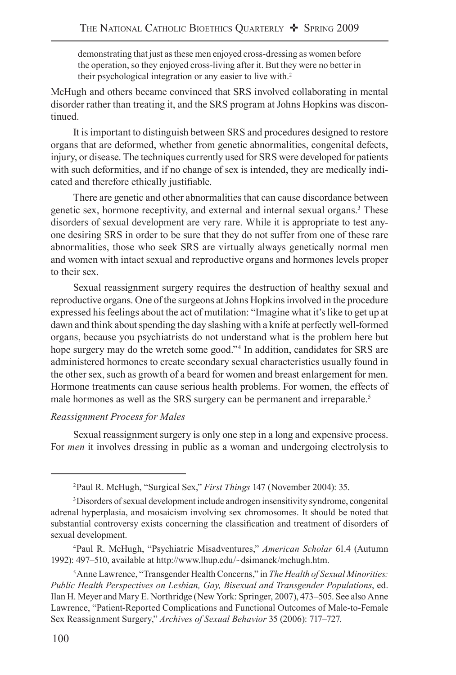demonstrating that just asthese men enjoyed cross-dressing as women before the operation, so they enjoyed cross-living after it. But they were no better in their psychological integration or any easier to live with.2

McHugh and others became convinced that SRS involved collaborating in mental disorder rather than treating it, and the SRS program at Johns Hopkins was discontinued.

It is important to distinguish between SRS and procedures designed to restore organs that are deformed, whether from genetic abnormalities, congenital defects, injury, or disease. The techniques currently used for SRS were developed for patients with such deformities, and if no change of sex is intended, they are medically indicated and therefore ethically justifiable.

There are genetic and other abnormalities that can cause discordance between genetic sex, hormone receptivity, and external and internal sexual organs.3 These disorders of sexual development are very rare. While it is appropriate to test anyone desiring SRS in order to be sure that they do not suffer from one of these rare abnormalities, those who seek SRS are virtually always genetically normal men and women with intact sexual and reproductive organs and hormones levels proper to their sex.

Sexual reassignment surgery requires the destruction of healthy sexual and reproductive organs. One of the surgeons at Johns Hopkins involved in the procedure expressed his feelings about the act of mutilation: "Imagine what it's like to get up at dawn and think about spending the day slashing with a knife at perfectly well-formed organs, because you psychiatrists do not understand what is the problem here but hope surgery may do the wretch some good."<sup>4</sup> In addition, candidates for SRS are administered hormones to create secondary sexual characteristics usually found in the other sex, such as growth of a beard for women and breast enlargement for men. Hormone treatments can cause serious health problems. For women, the effects of male hormones as well as the SRS surgery can be permanent and irreparable.<sup>5</sup>

# *Reassignment Process for Males*

Sexual reassignment surgery is only one step in a long and expensive process. For *men* it involves dressing in public as a woman and undergoing electrolysis to

4Paul R. McHugh, "Psychiatric Misadventures," *American Scholar* 61.4 (Autumn 1992): 497–510, available at http://www.lhup.edu/~dsimanek/mchugh.htm.

<sup>2</sup>Paul R. McHugh, "Surgical Sex," *First Things* 147 (November 2004): 35.

<sup>&</sup>lt;sup>3</sup>Disorders of sexual development include androgen insensitivity syndrome, congenital adrenal hyperplasia, and mosaicism involving sex chromosomes. It should be noted that substantial controversy exists concerning the classification and treatment of disorders of sexual development.

<sup>5</sup>Anne Lawrence, "Transgender Health Concerns," in *The Health of Sexual Minorities: Public Health Perspectives on Lesbian, Gay, Bisexual and Transgender Populations*, ed. Ilan H. Meyer and Mary E. Northridge (New York: Springer, 2007), 473–505. See also Anne Lawrence, "Patient-Reported Complications and Functional Outcomes of Male-to-Female Sex Reassignment Surgery," *Archives of Sexual Behavior* 35 (2006): 717–727.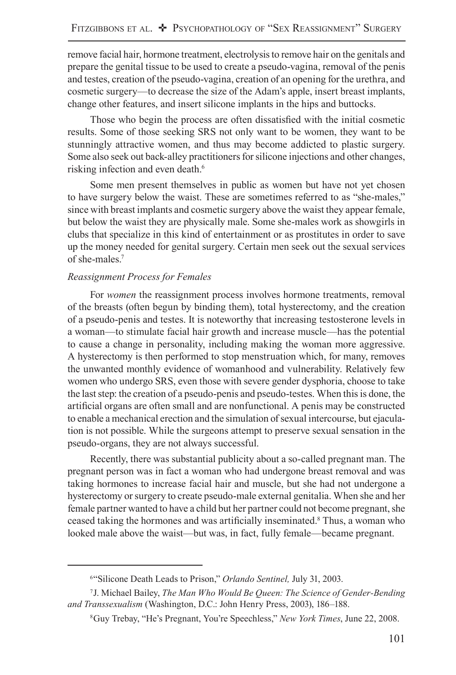remove facial hair, hormone treatment, electrolysisto remove hair on the genitals and prepare the genital tissue to be used to create a pseudo-vagina, removal of the penis and testes, creation of the pseudo-vagina, creation of an opening for the urethra, and cosmetic surgery—to decrease the size of the Adam's apple, insert breast implants, change other features, and insert silicone implants in the hips and buttocks.

Those who begin the process are often dissatisfied with the initial cosmetic results. Some of those seeking SRS not only want to be women, they want to be stunningly attractive women, and thus may become addicted to plastic surgery. Some also seek out back-alley practitioners for silicone injections and other changes, risking infection and even death.<sup>6</sup>

Some men present themselves in public as women but have not yet chosen to have surgery below the waist. These are sometimes referred to as "she-males," since with breast implants and cosmetic surgery above the waist they appear female, but below the waist they are physically male. Some she-males work as showgirls in clubs that specialize in this kind of entertainment or as prostitutes in order to save up the money needed for genital surgery. Certain men seek out the sexual services of she-males.7

# *Reassignment Process for Females*

For *women* the reassignment process involves hormone treatments, removal of the breasts (often begun by binding them), total hysterectomy, and the creation of a pseudo-penis and testes. It is noteworthy that increasing testosterone levels in a woman—to stimulate facial hair growth and increase muscle—has the potential to cause a change in personality, including making the woman more aggressive. A hysterectomy is then performed to stop menstruation which, for many, removes the unwanted monthly evidence of womanhood and vulnerability. Relatively few women who undergo SRS, even those with severe gender dysphoria, choose to take the last step: the creation of a pseudo-penis and pseudo-testes. When this is done, the artificial organs are often small and are nonfunctional. A penis may be constructed to enable a mechanical erection and the simulation of sexual intercourse, but ejaculation is not possible. While the surgeons attempt to preserve sexual sensation in the pseudo-organs, they are not always successful.

Recently, there was substantial publicity about a so-called pregnant man. The pregnant person was in fact a woman who had undergone breast removal and was taking hormones to increase facial hair and muscle, but she had not undergone a hysterectomy or surgery to create pseudo-male external genitalia. When she and her female partner wanted to have a child but her partner could not become pregnant, she ceased taking the hormones and was artificially inseminated.<sup>8</sup> Thus, a woman who looked male above the waist—but was, in fact, fully female—became pregnant.

<sup>6</sup>"Silicone Death Leads to Prison," *Orlando Sentinel,* July 31, 2003.

<sup>7</sup>J. Michael Bailey, *The Man Who Would Be Queen: The Science of Gender-Bending and Transsexualism* (Washington, D.C.: John Henry Press, 2003), 186–188.

<sup>8</sup>Guy Trebay, "He's Pregnant, You're Speechless," *New York Times*, June 22, 2008.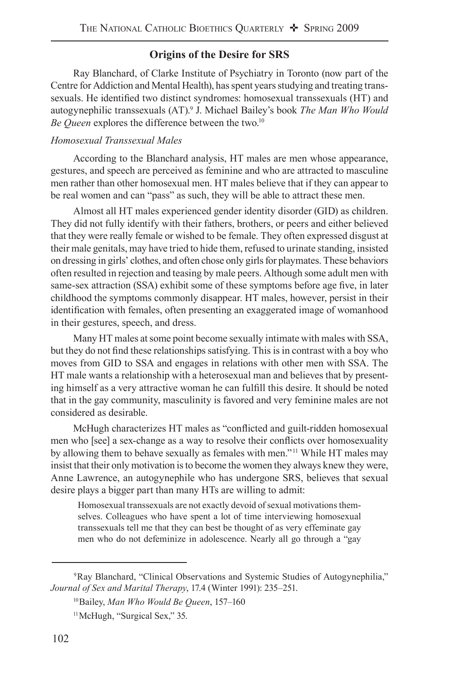# **Origins of the Desire for SRS**

Ray Blanchard, of Clarke Institute of Psychiatry in Toronto (now part of the Centre for Addiction and Mental Health), hasspent yearsstudying and treating transsexuals. He identified two distinct syndromes: homosexual transsexuals (HT) and autogynephilic transsexuals (AT).9 J. Michael Bailey's book *The Man Who Would Be Queen* explores the difference between the two.<sup>10</sup>

#### *Homosexual Transsexual Males*

According to the Blanchard analysis, HT males are men whose appearance, gestures, and speech are perceived as feminine and who are attracted to masculine men rather than other homosexual men. HT males believe that if they can appear to be real women and can "pass" as such, they will be able to attract these men.

Almost all HT males experienced gender identity disorder (GID) as children. They did not fully identify with their fathers, brothers, or peers and either believed that they were really female or wished to be female. They often expressed disgust at their male genitals, may have tried to hide them, refused to urinate standing, insisted on dressing in girls' clothes, and often chose only girls for playmates. These behaviors often resulted in rejection and teasing by male peers. Although some adult men with same-sex attraction (SSA) exhibit some of these symptoms before age five, in later childhood the symptoms commonly disappear. HT males, however, persist in their identification with females, often presenting an exaggerated image of womanhood in their gestures, speech, and dress.

Many HT males at some point become sexually intimate with males with SSA, but they do not find these relationships satisfying. This is in contrast with a boy who moves from GID to SSA and engages in relations with other men with SSA. The HT male wants a relationship with a heterosexual man and believes that by presenting himself as a very attractive woman he can fulfill this desire. It should be noted that in the gay community, masculinity is favored and very feminine males are not considered as desirable.

McHugh characterizes HT males as "conflicted and guilt-ridden homosexual men who [see] a sex-change as a way to resolve their conflicts over homosexuality by allowing them to behave sexually as females with men." <sup>11</sup> While HT males may insist that their only motivation isto become the women they always knew they were, Anne Lawrence, an autogynephile who has undergone SRS, believes that sexual desire plays a bigger part than many HTs are willing to admit:

Homosexual transsexuals are not exactly devoid of sexual motivations themselves. Colleagues who have spent a lot of time interviewing homosexual transsexuals tell me that they can best be thought of as very effeminate gay men who do not defeminize in adolescence. Nearly all go through a "gay

<sup>9</sup>Ray Blanchard, "Clinical Observations and Systemic Studies of Autogynephilia," *Journal of Sex and Marital Therapy*, 17.4 (Winter 1991): 235–251.

<sup>10</sup>Bailey, *Man Who Would Be Queen*, 157–160

<sup>11</sup>McHugh, "Surgical Sex," 35.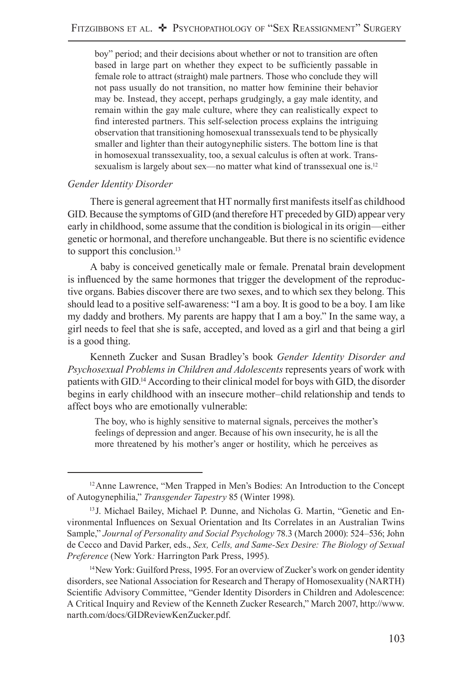boy" period; and their decisions about whether or not to transition are often based in large part on whether they expect to be sufficiently passable in female role to attract (straight) male partners. Those who conclude they will not pass usually do not transition, no matter how feminine their behavior may be. Instead, they accept, perhaps grudgingly, a gay male identity, and remain within the gay male culture, where they can realistically expect to find interested partners. This self-selection process explains the intriguing observation that transitioning homosexual transsexuals tend to be physically smaller and lighter than their autogynephilic sisters. The bottom line is that in homosexual transsexuality, too, a sexual calculus is often at work. Transsexualism is largely about sex—no matter what kind of transsexual one is.<sup>12</sup>

#### *Gender Identity Disorder*

There is general agreement that HT normally first manifests itself as childhood GID. Because the symptoms of GID (and therefore HT preceded by GID) appear very early in childhood, some assume that the condition is biological in its origin—either genetic or hormonal, and therefore unchangeable. But there is no scientific evidence to support this conclusion.<sup>13</sup>

A baby is conceived genetically male or female. Prenatal brain development is influenced by the same hormones that trigger the development of the reproductive organs. Babies discover there are two sexes, and to which sex they belong. This should lead to a positive self-awareness: "I am a boy. It is good to be a boy. I am like my daddy and brothers. My parents are happy that I am a boy." In the same way, a girl needs to feel that she is safe, accepted, and loved as a girl and that being a girl is a good thing.

Kenneth Zucker and Susan Bradley's book *Gender Identity Disorder and Psychosexual Problems in Children and Adolescents* represents years of work with patients with GID.<sup>14</sup> According to their clinical model for boys with GID, the disorder begins in early childhood with an insecure mother–child relationship and tends to affect boys who are emotionally vulnerable:

The boy, who is highly sensitive to maternal signals, perceives the mother's feelings of depression and anger. Because of his own insecurity, he is all the more threatened by his mother's anger or hostility, which he perceives as

<sup>12</sup>Anne Lawrence, "Men Trapped in Men's Bodies: An Introduction to the Concept of Autogynephilia," *Transgender Tapestry* 85 (Winter 1998).

<sup>13</sup>J. Michael Bailey, Michael P. Dunne, and Nicholas G. Martin, "Genetic and Environmental Influences on Sexual Orientation and Its Correlates in an Australian Twins Sample," *Journal of Personality and Social Psychology* 78.3 (March 2000): 524–536; John de Cecco and David Parker, eds., *Sex, Cells, and Same-Sex Desire: The Biology of Sexual Preference* (New York*:* Harrington Park Press, 1995).

<sup>&</sup>lt;sup>14</sup>New York: Guilford Press, 1995. For an overview of Zucker's work on gender identity disorders, see National Association for Research and Therapy of Homosexuality (NARTH) Scientific Advisory Committee, "Gender Identity Disorders in Children and Adolescence: A Critical Inquiry and Review of the Kenneth Zucker Research," March 2007, http://www. narth.com/docs/GIDReviewKenZucker.pdf.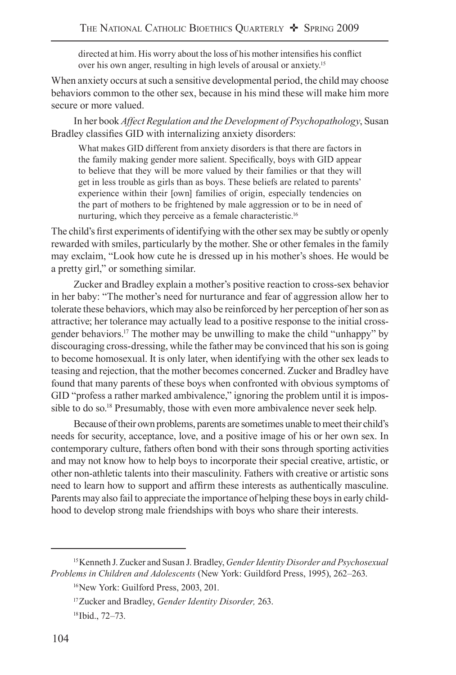directed at him. His worry about the loss of his mother intensifies his conflict over his own anger, resulting in high levels of arousal or anxiety.15

When anxiety occurs at such a sensitive developmental period, the child may choose behaviors common to the other sex, because in his mind these will make him more secure or more valued.

In her book *Affect Regulation and the Development of Psychopathology*, Susan Bradley classifies GID with internalizing anxiety disorders:

What makes GID different from anxiety disorders is that there are factors in the family making gender more salient. Specifically, boys with GID appear to believe that they will be more valued by their families or that they will get in less trouble as girls than as boys. These beliefs are related to parents' experience within their [own] families of origin, especially tendencies on the part of mothers to be frightened by male aggression or to be in need of nurturing, which they perceive as a female characteristic.<sup>16</sup>

The child's first experiments of identifying with the other sex may be subtly or openly rewarded with smiles, particularly by the mother. She or other females in the family may exclaim, "Look how cute he is dressed up in his mother's shoes. He would be a pretty girl," or something similar.

Zucker and Bradley explain a mother's positive reaction to cross-sex behavior in her baby: "The mother's need for nurturance and fear of aggression allow her to tolerate these behaviors, which may also be reinforced by her perception of herson as attractive; her tolerance may actually lead to a positive response to the initial crossgender behaviors.17 The mother may be unwilling to make the child "unhappy" by discouraging cross-dressing, while the father may be convinced that hisson is going to become homosexual. It is only later, when identifying with the other sex leads to teasing and rejection, that the mother becomes concerned. Zucker and Bradley have found that many parents of these boys when confronted with obvious symptoms of GID "profess a rather marked ambivalence," ignoring the problem until it is impossible to do so.<sup>18</sup> Presumably, those with even more ambivalence never seek help.

Because of their own problems, parents are sometimes unable to meet their child's needs for security, acceptance, love, and a positive image of his or her own sex. In contemporary culture, fathers often bond with their sons through sporting activities and may not know how to help boys to incorporate their special creative, artistic, or other non-athletic talents into their masculinity. Fathers with creative or artistic sons need to learn how to support and affirm these interests as authentically masculine. Parents may also fail to appreciate the importance of helping these boys in early childhood to develop strong male friendships with boys who share their interests.

<sup>15</sup>Kenneth J. Zucker and Susan J.Bradley, *Gender Identity Disorder and Psychosexual Problems in Children and Adolescents* (New York: Guildford Press, 1995), 262–263.

<sup>16</sup>New York: Guilford Press, 2003, 201.

<sup>17</sup>Zucker and Bradley, *Gender Identity Disorder,* 263.

<sup>18</sup>Ibid., 72–73.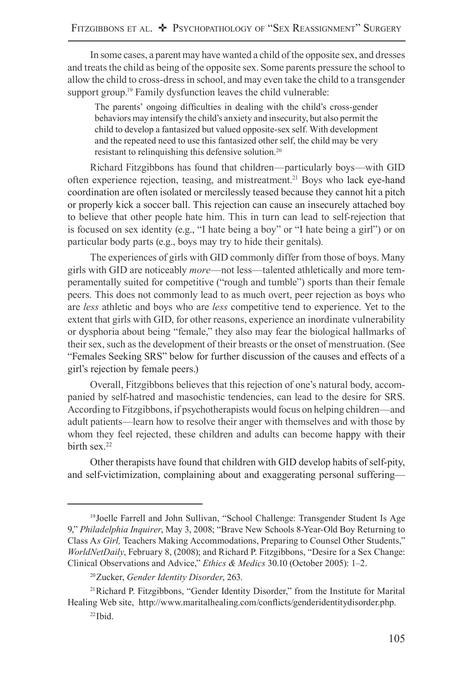In some cases, a parent may have wanted a child of the opposite sex, and dresses and treats the child as being of the opposite sex. Some parents pressure the school to allow the child to cross-dressin school, and may even take the child to a transgender support group.<sup>19</sup> Family dysfunction leaves the child vulnerable:

The parents' ongoing difficulties in dealing with the child's cross-gender behaviors may intensify the child's anxiety and insecurity, but also permit the child to develop a fantasized but valued opposite-sex self. With development and the repeated need to use this fantasized other self, the child may be very resistant to relinquishing this defensive solution.20

Richard Fitzgibbons has found that children—particularly boys—with GID often experience rejection, teasing, and mistreatment.21 Boys who lack eye-hand coordination are often isolated or mercilessly teased because they cannot hit a pitch or properly kick a soccer ball. This rejection can cause an insecurely attached boy to believe that other people hate him. This in turn can lead to self-rejection that is focused on sex identity (e.g., "I hate being a boy" or "I hate being a girl") or on particular body parts (e.g., boys may try to hide their genitals).

The experiences of girls with GID commonly differ from those of boys. Many girls with GID are noticeably *more*—not less—talented athletically and more temperamentally suited for competitive ("rough and tumble") sports than their female peers. This does not commonly lead to as much overt, peer rejection as boys who are *less* athletic and boys who are *less* competitive tend to experience. Yet to the extent that girls with GID, for other reasons, experience an inordinate vulnerability or dysphoria about being "female," they also may fear the biological hallmarks of their sex, such as the development of their breasts or the onset of menstruation. (See "Females Seeking SRS" below for further discussion of the causes and effects of a girl's rejection by female peers.)

Overall, Fitzgibbons believes that this rejection of one's natural body, accompanied by self-hatred and masochistic tendencies, can lead to the desire for SRS. According to Fitzgibbons, if psychotherapists would focus on helping children—and adult patients—learn how to resolve their anger with themselves and with those by whom they feel rejected, these children and adults can become happy with their birth  $sex.^{22}$ 

Other therapists have found that children with GID develop habits of self-pity, and self-victimization, complaining about and exaggerating personal suffering—

<sup>19</sup>Joelle Farrell and John Sullivan, "School Challenge: Transgender Student Is Age 9," *Philadelphia Inquirer*, May 3, 2008; "Brave New Schools 8-Year-Old Boy Returning to Class A*s Girl,* Teachers Making Accommodations, Preparing to Counsel Other Students," *WorldNetDaily*, February 8, (2008); and Richard P. Fitzgibbons, "Desire for a Sex Change: Clinical Observations and Advice," *Ethics & Medics* 30.10 (October 2005): 1–2.

<sup>20</sup>Zucker, *Gender Identity Disorder*, 263.

<sup>21</sup>Richard P. Fitzgibbons, "Gender Identity Disorder," from the Institute for Marital Healing Web site, http://www.maritalhealing.com/conflicts/genderidentitydisorder.php.

<sup>22</sup>Ibid.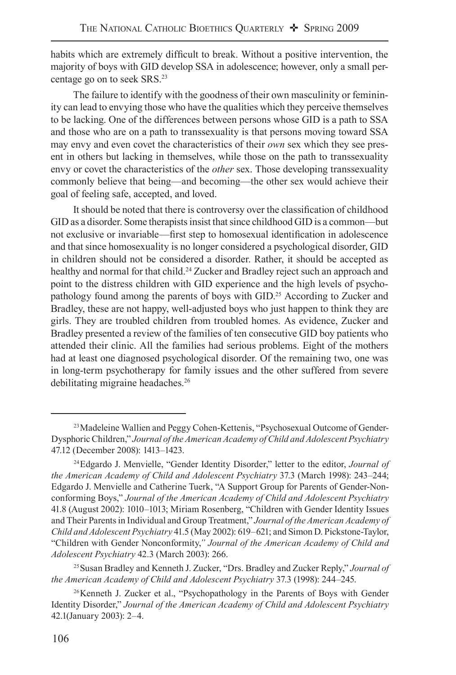habits which are extremely difficult to break. Without a positive intervention, the majority of boys with GID develop SSA in adolescence; however, only a small percentage go on to seek SRS.23

The failure to identify with the goodness of their own masculinity or femininity can lead to envying those who have the qualities which they perceive themselves to be lacking. One of the differences between persons whose GID is a path to SSA and those who are on a path to transsexuality is that persons moving toward SSA may envy and even covet the characteristics of their *own* sex which they see present in others but lacking in themselves, while those on the path to transsexuality envy or covet the characteristics of the *other* sex. Those developing transsexuality commonly believe that being—and becoming—the other sex would achieve their goal of feeling safe, accepted, and loved.

It should be noted that there is controversy over the classification of childhood GID as a disorder. Some therapists insist that since childhood GID is a common—but not exclusive or invariable—first step to homosexual identification in adolescence and that since homosexuality is no longer considered a psychological disorder, GID in children should not be considered a disorder. Rather, it should be accepted as healthy and normal for that child.<sup>24</sup> Zucker and Bradley reject such an approach and point to the distress children with GID experience and the high levels of psychopathology found among the parents of boys with GID.25 According to Zucker and Bradley, these are not happy, well-adjusted boys who just happen to think they are girls. They are troubled children from troubled homes. As evidence, Zucker and Bradley presented a review of the families of ten consecutive GID boy patients who attended their clinic. All the families had serious problems. Eight of the mothers had at least one diagnosed psychological disorder. Of the remaining two, one was in long-term psychotherapy for family issues and the other suffered from severe debilitating migraine headaches.<sup>26</sup>

<sup>23</sup>Madeleine Wallien and Peggy Cohen-Kettenis, "Psychosexual Outcome of Gender-Dysphoric Children," *Journal of the American Academy of Child and Adolescent Psychiatry* 47.12 (December 2008): 1413–1423.

<sup>24</sup>Edgardo J. Menvielle, "Gender Identity Disorder," letter to the editor, *Journal of the American Academy of Child and Adolescent Psychiatry* 37.3 (March 1998): 243–244; Edgardo J. Menvielle and Catherine Tuerk, "A Support Group for Parents of Gender-Nonconforming Boys," *Journal of the American Academy of Child and Adolescent Psychiatry* 41.8 (August 2002): 1010–1013; Miriam Rosenberg, "Children with Gender Identity Issues and Their Parents in Individual and Group Treatment," *Journal of the American Academy of Child and Adolescent Psychiatry* 41.5 (May 2002): 619–621; and Simon D. Pickstone-Taylor, "Children with Gender Nonconformity,*" Journal of the American Academy of Child and Adolescent Psychiatry* 42.3 (March 2003): 266.

<sup>25</sup>Susan Bradley and Kenneth J. Zucker, "Drs. Bradley and Zucker Reply," *Journal of the American Academy of Child and Adolescent Psychiatry* 37.3 (1998): 244–245.

<sup>26</sup>Kenneth J. Zucker et al., "Psychopathology in the Parents of Boys with Gender Identity Disorder," *Journal of the American Academy of Child and Adolescent Psychiatry* 42.1(January 2003): 2–4.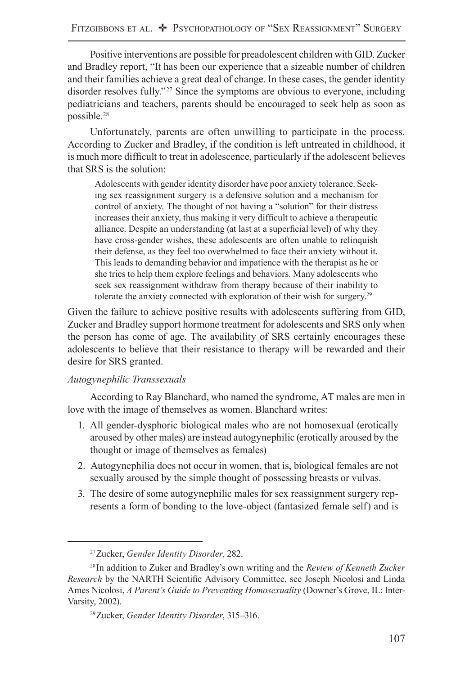Positive interventions are possible for preadolescent children with GID. Zucker and Bradley report, "It has been our experience that a sizeable number of children and their families achieve a great deal of change. In these cases, the gender identity disorder resolves fully."<sup>27</sup> Since the symptoms are obvious to everyone, including pediatricians and teachers, parents should be encouraged to seek help as soon as possible.28

Unfortunately, parents are often unwilling to participate in the process. According to Zucker and Bradley, if the condition is left untreated in childhood, it is much more difficult to treat in adolescence, particularly if the adolescent believes that SRS is the solution:

Adolescents with gender identity disorder have poor anxiety tolerance. Seeking sex reassignment surgery is a defensive solution and a mechanism for control of anxiety. The thought of not having a "solution" for their distress increases their anxiety, thus making it very difficult to achieve a therapeutic alliance. Despite an understanding (at last at a superficial level) of why they have cross-gender wishes, these adolescents are often unable to relinquish their defense, as they feel too overwhelmed to face their anxiety without it. This leads to demanding behavior and impatience with the therapist as he or she tries to help them explore feelings and behaviors. Many adolescents who seek sex reassignment withdraw from therapy because of their inability to tolerate the anxiety connected with exploration of their wish for surgery.29

Given the failure to achieve positive results with adolescents suffering from GID, Zucker and Bradley support hormone treatment for adolescents and SRS only when the person has come of age. The availability of SRS certainly encourages these adolescents to believe that their resistance to therapy will be rewarded and their desire for SRS granted.

# *Autogynephilic Transsexuals*

According to Ray Blanchard, who named the syndrome, AT males are men in love with the image of themselves as women. Blanchard writes:

- 1. All gender-dysphoric biological males who are not homosexual (erotically aroused by other males) are instead autogynephilic (erotically aroused by the thought or image of themselves as females)
- 2. Autogynephilia does not occur in women, that is, biological females are not sexually aroused by the simple thought of possessing breasts or vulvas.
- 3. The desire of some autogynephilic males for sex reassignment surgery represents a form of bonding to the love-object (fantasized female self) and is

<sup>27</sup>Zucker, *Gender Identity Disorder*, 282.

<sup>28</sup>In addition to Zuker and Bradley's own writing and the *Review of Kenneth Zucker Research* by the NARTH Scientific Advisory Committee, see Joseph Nicolosi and Linda Ames Nicolosi, *A Parent's Guide to Preventing Homosexuality* (Downer's Grove, IL: Inter-Varsity, 2002).

<sup>29</sup>Zucker, *Gender Identity Disorder*, 315–316.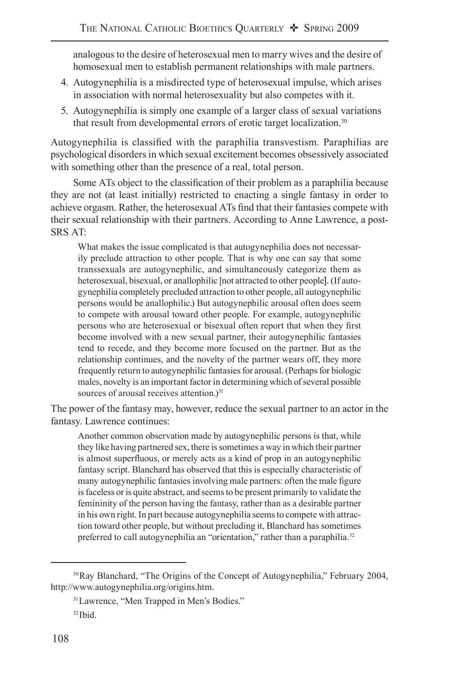analogous to the desire of heterosexual men to marry wives and the desire of homosexual men to establish permanent relationships with male partners.

- 4. Autogynephilia is a misdirected type of heterosexual impulse, which arises in association with normal heterosexuality but also competes with it.
- 5. Autogynephilia is simply one example of a larger class of sexual variations that result from developmental errors of erotic target localization.<sup>30</sup>

Autogynephilia is classified with the paraphilia transvestism. Paraphilias are psychological disorders in which sexual excitement becomes obsessively associated with something other than the presence of a real, total person.

Some ATs object to the classification of their problem as a paraphilia because they are not (at least initially) restricted to enacting a single fantasy in order to achieve orgasm. Rather, the heterosexual ATs find that their fantasies compete with their sexual relationship with their partners. According to Anne Lawrence, a post-SRS AT:

What makes the issue complicated is that autogynephilia does not necessarily preclude attraction to other people. That is why one can say that some transsexuals are autogynephilic, and simultaneously categorize them as heterosexual, bisexual, or anallophilic [not attracted to other people]. (If autogynephilia completely precluded attraction to other people, all autogynephilic persons would be anallophilic.) But autogynephilic arousal often does seem to compete with arousal toward other people. For example, autogynephilic persons who are heterosexual or bisexual often report that when they first become involved with a new sexual partner, their autogynephilic fantasies tend to recede, and they become more focused on the partner. But as the relationship continues, and the novelty of the partner wears off, they more frequently return to autogynephilic fantasies for arousal. (Perhaps for biologic males, novelty is an important factor in determining which of several possible sources of arousal receives attention.)<sup>31</sup>

The power of the fantasy may, however, reduce the sexual partner to an actor in the fantasy. Lawrence continues:

Another common observation made by autogynephilic persons is that, while they like having partnered sex, there issometimes a way in which their partner is almost superfluous, or merely acts as a kind of prop in an autogynephilic fantasy script. Blanchard has observed that this is especially characteristic of many autogynephilic fantasies involving male partners: often the male figure is faceless or is quite abstract, and seems to be present primarily to validate the femininity of the person having the fantasy, rather than as a desirable partner in his own right. In part because autogynephilia seems to compete with attraction toward other people, but without precluding it, Blanchard has sometimes preferred to call autogynephilia an "orientation," rather than a paraphilia.<sup>32</sup>

<sup>30</sup>Ray Blanchard, "The Origins of the Concept of Autogynephilia," February 2004, http://www.autogynephilia.org/origins.htm.

<sup>31</sup>Lawrence, "Men Trapped in Men's Bodies."

 $32$ *Ibid*.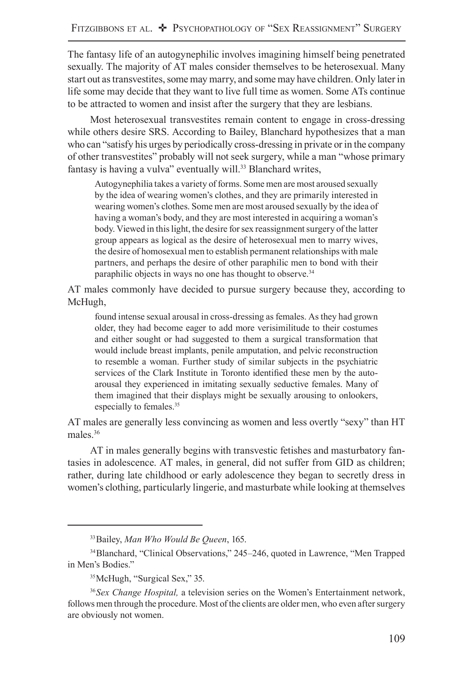The fantasy life of an autogynephilic involves imagining himself being penetrated sexually. The majority of AT males consider themselves to be heterosexual. Many start out as transvestites, some may marry, and some may have children. Only later in life some may decide that they want to live full time as women. Some ATs continue to be attracted to women and insist after the surgery that they are lesbians.

Most heterosexual transvestites remain content to engage in cross-dressing while others desire SRS. According to Bailey, Blanchard hypothesizes that a man who can "satisfy his urges by periodically cross-dressing in private or in the company of other transvestites" probably will not seek surgery, while a man "whose primary fantasy is having a vulva" eventually will.<sup>33</sup> Blanchard writes,

Autogynephilia takes a variety of forms. Some men are most aroused sexually by the idea of wearing women's clothes, and they are primarily interested in wearing women's clothes. Some men are most aroused sexually by the idea of having a woman's body, and they are most interested in acquiring a woman's body. Viewed in this light, the desire for sex reassignment surgery of the latter group appears as logical as the desire of heterosexual men to marry wives, the desire of homosexual men to establish permanent relationships with male partners, and perhaps the desire of other paraphilic men to bond with their paraphilic objects in ways no one has thought to observe.<sup>34</sup>

AT males commonly have decided to pursue surgery because they, according to McHugh,

found intense sexual arousal in cross-dressing as females. As they had grown older, they had become eager to add more verisimilitude to their costumes and either sought or had suggested to them a surgical transformation that would include breast implants, penile amputation, and pelvic reconstruction to resemble a woman. Further study of similar subjects in the psychiatric services of the Clark Institute in Toronto identified these men by the autoarousal they experienced in imitating sexually seductive females. Many of them imagined that their displays might be sexually arousing to onlookers, especially to females.<sup>35</sup>

AT males are generally less convincing as women and less overtly "sexy" than HT males $36$ 

AT in males generally begins with transvestic fetishes and masturbatory fantasies in adolescence. AT males, in general, did not suffer from GID as children; rather, during late childhood or early adolescence they began to secretly dress in women's clothing, particularly lingerie, and masturbate while looking at themselves

<sup>33</sup>Bailey, *Man Who Would Be Queen*, 165.

<sup>34</sup>Blanchard, "Clinical Observations," 245–246, quoted in Lawrence, "Men Trapped in Men's Bodies."

<sup>35</sup>McHugh, "Surgical Sex," 35.

<sup>36</sup>*Sex Change Hospital,* a television series on the Women's Entertainment network, follows men through the procedure. Most of the clients are older men, who even after surgery are obviously not women.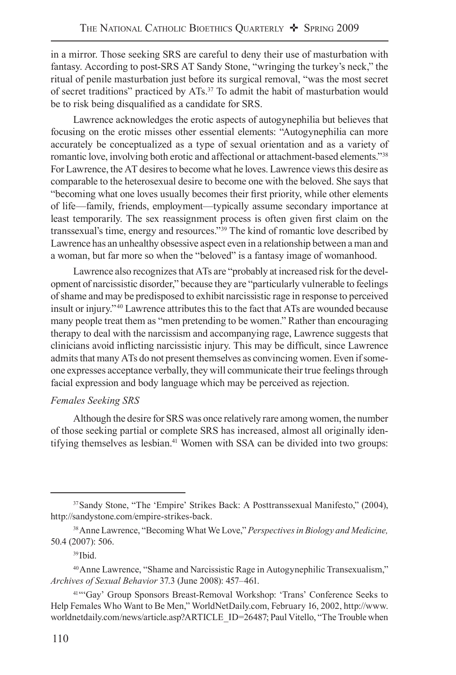in a mirror. Those seeking SRS are careful to deny their use of masturbation with fantasy. According to post-SRS AT Sandy Stone, "wringing the turkey's neck," the ritual of penile masturbation just before its surgical removal, "was the most secret of secret traditions" practiced by ATs.<sup>37</sup> To admit the habit of masturbation would be to risk being disqualified as a candidate for SRS.

Lawrence acknowledges the erotic aspects of autogynephilia but believes that focusing on the erotic misses other essential elements: "Autogynephilia can more accurately be conceptualized as a type of sexual orientation and as a variety of romantic love, involving both erotic and affectional or attachment-based elements."<sup>38</sup> For Lawrence, the AT desires to become what he loves. Lawrence views this desire as comparable to the heterosexual desire to become one with the beloved. She says that "becoming what one loves usually becomes their first priority, while other elements of life—family, friends, employment—typically assume secondary importance at least temporarily. The sex reassignment process is often given first claim on the transsexual's time, energy and resources."<sup>39</sup> The kind of romantic love described by Lawrence has an unhealthy obsessive aspect even in a relationship between a man and a woman, but far more so when the "beloved" is a fantasy image of womanhood.

Lawrence also recognizes that ATs are "probably at increased risk for the development of narcissistic disorder," because they are "particularly vulnerable to feelings ofshame and may be predisposed to exhibit narcissistic rage in response to perceived insult or injury."40 Lawrence attributes this to the fact that ATs are wounded because many people treat them as "men pretending to be women." Rather than encouraging therapy to deal with the narcissism and accompanying rage, Lawrence suggests that clinicians avoid inflicting narcissistic injury. This may be difficult, since Lawrence admits that many ATs do not present themselves as convincing women. Even if someone expresses acceptance verbally, they will communicate their true feelings through facial expression and body language which may be perceived as rejection.

#### *Females Seeking SRS*

Although the desire for SRS was once relatively rare among women, the number of those seeking partial or complete SRS has increased, almost all originally identifying themselves as lesbian.<sup>41</sup> Women with SSA can be divided into two groups:

<sup>37</sup>Sandy Stone, "The 'Empire' Strikes Back: A Posttranssexual Manifesto," (2004), http://sandystone.com/empire-strikes-back.

<sup>38</sup>Anne Lawrence, "Becoming What We Love," *Perspectives in Biology and Medicine,*  50.4 (2007): 506.

<sup>39</sup>Ibid.

<sup>40</sup>Anne Lawrence, "Shame and Narcissistic Rage in Autogynephilic Transexualism," *Archives of Sexual Behavior* 37.3 (June 2008): 457–461.

<sup>41</sup>"'Gay' Group Sponsors Breast-Removal Workshop: 'Trans' Conference Seeks to Help Females Who Want to Be Men," WorldNetDaily.com, February 16, 2002, http://www. worldnetdaily.com/news/article.asp?ARTICLE\_ID=26487; Paul Vitello, "The Trouble when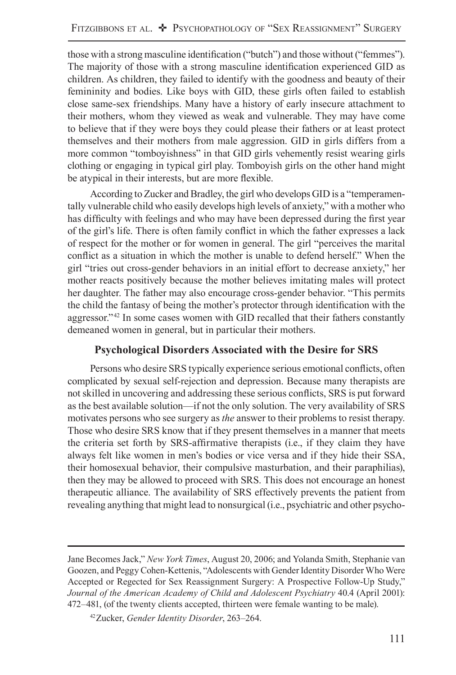those with a strong masculine identification ("butch") and those without ("femmes"). The majority of those with a strong masculine identification experienced GID as children. As children, they failed to identify with the goodness and beauty of their femininity and bodies. Like boys with GID, these girls often failed to establish close same-sex friendships. Many have a history of early insecure attachment to their mothers, whom they viewed as weak and vulnerable. They may have come to believe that if they were boys they could please their fathers or at least protect themselves and their mothers from male aggression. GID in girls differs from a more common "tomboyishness" in that GID girls vehemently resist wearing girls clothing or engaging in typical girl play. Tomboyish girls on the other hand might be atypical in their interests, but are more flexible.

According to Zucker and Bradley, the girl who develops GID is a "temperamentally vulnerable child who easily develops high levels of anxiety," with a mother who has difficulty with feelings and who may have been depressed during the first year of the girl's life. There is often family conflict in which the father expresses a lack of respect for the mother or for women in general. The girl "perceives the marital conflict as a situation in which the mother is unable to defend herself." When the girl "tries out cross-gender behaviors in an initial effort to decrease anxiety," her mother reacts positively because the mother believes imitating males will protect her daughter. The father may also encourage cross-gender behavior. "This permits the child the fantasy of being the mother's protector through identification with the aggressor."42 In some cases women with GID recalled that their fathers constantly demeaned women in general, but in particular their mothers.

# **Psychological Disorders Associated with the Desire for SRS**

Persons who desire SRS typically experience serious emotional conflicts, often complicated by sexual self-rejection and depression. Because many therapists are not skilled in uncovering and addressing these serious conflicts, SRS is put forward as the best available solution—if not the only solution. The very availability of SRS motivates persons who see surgery as *the* answer to their problems to resist therapy. Those who desire SRS know that if they present themselves in a manner that meets the criteria set forth by SRS-affirmative therapists (i.e., if they claim they have always felt like women in men's bodies or vice versa and if they hide their SSA, their homosexual behavior, their compulsive masturbation, and their paraphilias), then they may be allowed to proceed with SRS. This does not encourage an honest therapeutic alliance. The availability of SRS effectively prevents the patient from revealing anything that might lead to nonsurgical (i.e., psychiatric and other psycho-

Jane Becomes Jack," *New York Times*, August 20, 2006; and Yolanda Smith, Stephanie van Goozen, and Peggy Cohen-Kettenis, "Adolescents with Gender Identity Disorder Who Were Accepted or Regected for Sex Reassignment Surgery: A Prospective Follow-Up Study," *Journal of the American Academy of Child and Adolescent Psychiatry* 40.4 (April 2001): 472–481, (of the twenty clients accepted, thirteen were female wanting to be male).

<sup>42</sup>Zucker, *Gender Identity Disorder*, 263–264.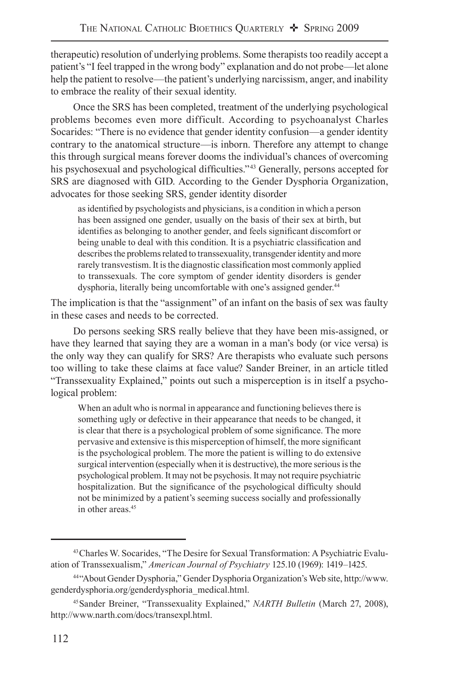therapeutic) resolution of underlying problems. Some therapists too readily accept a patient's "I feel trapped in the wrong body" explanation and do not probe—let alone help the patient to resolve—the patient's underlying narcissism, anger, and inability to embrace the reality of their sexual identity.

Once the SRS has been completed, treatment of the underlying psychological problems becomes even more difficult. According to psychoanalyst Charles Socarides: "There is no evidence that gender identity confusion—a gender identity contrary to the anatomical structure—is inborn. Therefore any attempt to change this through surgical means forever dooms the individual's chances of overcoming his psychosexual and psychological difficulties."<sup>43</sup> Generally, persons accepted for SRS are diagnosed with GID. According to the Gender Dysphoria Organization, advocates for those seeking SRS, gender identity disorder

as identified by psychologists and physicians, is a condition in which a person has been assigned one gender, usually on the basis of their sex at birth, but identifies as belonging to another gender, and feels significant discomfort or being unable to deal with this condition. It is a psychiatric classification and describes the problems related to transsexuality, transgender identity and more rarely transvestism. It is the diagnostic classification most commonly applied to transsexuals. The core symptom of gender identity disorders is gender dysphoria, literally being uncomfortable with one's assigned gender.<sup>44</sup>

The implication is that the "assignment" of an infant on the basis of sex was faulty in these cases and needs to be corrected.

Do persons seeking SRS really believe that they have been mis-assigned, or have they learned that saying they are a woman in a man's body (or vice versa) is the only way they can qualify for SRS? Are therapists who evaluate such persons too willing to take these claims at face value? Sander Breiner, in an article titled "Transsexuality Explained," points out such a misperception is in itself a psychological problem:

When an adult who is normal in appearance and functioning believes there is something ugly or defective in their appearance that needs to be changed, it is clear that there is a psychological problem of some significance. The more pervasive and extensive is this misperception of himself, the more significant is the psychological problem. The more the patient is willing to do extensive surgical intervention (especially when it is destructive), the more serious is the psychological problem. It may not be psychosis. It may not require psychiatric hospitalization. But the significance of the psychological difficulty should not be minimized by a patient's seeming success socially and professionally in other areas.<sup>45</sup>

<sup>43</sup>Charles W. Socarides, "The Desire for Sexual Transformation: A Psychiatric Evaluation of Transsexualism," *American Journal of Psychiatry* 125.10 (1969): 1419–1425.

<sup>44&</sup>quot;About Gender Dysphoria," Gender Dysphoria Organization's Web site, http://www. genderdysphoria.org/genderdysphoria\_medical.html.

<sup>45</sup>Sander Breiner, "Transsexuality Explained," *NARTH Bulletin* (March 27, 2008), http://www.narth.com/docs/transexpl.html.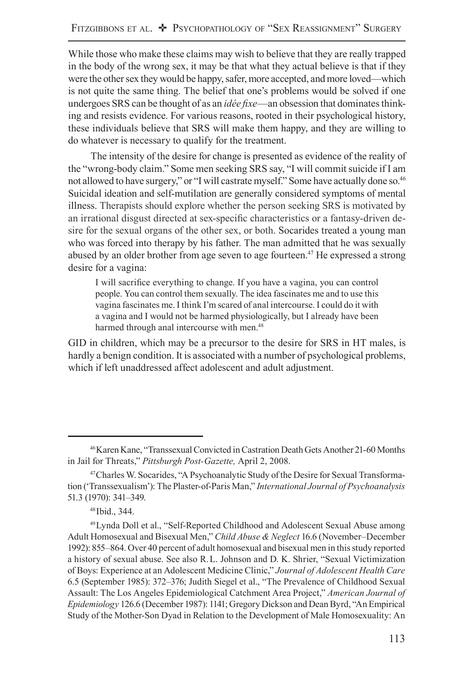While those who make these claims may wish to believe that they are really trapped in the body of the wrong sex, it may be that what they actual believe is that if they were the other sex they would be happy, safer, more accepted, and more loved—which is not quite the same thing. The belief that one's problems would be solved if one undergoes SRS can be thought of as an *idée fixe*—an obsession that dominates thinking and resists evidence. For various reasons, rooted in their psychological history, these individuals believe that SRS will make them happy, and they are willing to do whatever is necessary to qualify for the treatment.

The intensity of the desire for change is presented as evidence of the reality of the "wrong-body claim." Some men seeking SRS say, "I will commit suicide if I am not allowed to have surgery," or "I will castrate myself." Some have actually done so.<sup>46</sup> Suicidal ideation and self-mutilation are generally considered symptoms of mental illness. Therapists should explore whether the person seeking SRS is motivated by an irrational disgust directed at sex-specific characteristics or a fantasy-driven desire for the sexual organs of the other sex, or both. Socarides treated a young man who was forced into therapy by his father. The man admitted that he was sexually abused by an older brother from age seven to age fourteen.<sup>47</sup> He expressed a strong desire for a vagina:

I will sacrifice everything to change. If you have a vagina, you can control people. You can control them sexually. The idea fascinates me and to use this vagina fascinates me. I think I'm scared of anal intercourse. I could do it with a vagina and I would not be harmed physiologically, but I already have been harmed through anal intercourse with men.<sup>48</sup>

GID in children, which may be a precursor to the desire for SRS in HT males, is hardly a benign condition. It is associated with a number of psychological problems, which if left unaddressed affect adolescent and adult adjustment.

<sup>&</sup>lt;sup>46</sup>Karen Kane, "Transsexual Convicted in Castration Death Gets Another 21-60 Months in Jail for Threats," *Pittsburgh Post-Gazette,* April 2, 2008.

<sup>47</sup>Charles W. Socarides, "A Psychoanalytic Study of the Desire for Sexual Transformation ('Transsexualism'): The Plaster-of-Paris Man," *International Journal of Psychoanalysis*  51.3 (1970): 341–349.

<sup>48</sup>Ibid., 344.

<sup>49</sup>Lynda Doll et al., "Self-Reported Childhood and Adolescent Sexual Abuse among Adult Homosexual and Bisexual Men," *Child Abuse & Neglect* 16.6 (November–December 1992): 855–864. Over 40 percent of adult homosexual and bisexual men in this study reported a history of sexual abuse. See also R. L. Johnson and D. K. Shrier, "Sexual Victimization of Boys: Experience at an Adolescent Medicine Clinic," *Journal of Adolescent Health Care*  6.5 (September 1985): 372–376; Judith Siegel et al., "The Prevalence of Childhood Sexual Assault: The Los Angeles Epidemiological Catchment Area Project," *American Journal of Epidemiology* 126.6 (December 1987): 1141; Gregory Dickson and Dean Byrd, "An Empirical Study of the Mother-Son Dyad in Relation to the Development of Male Homosexuality: An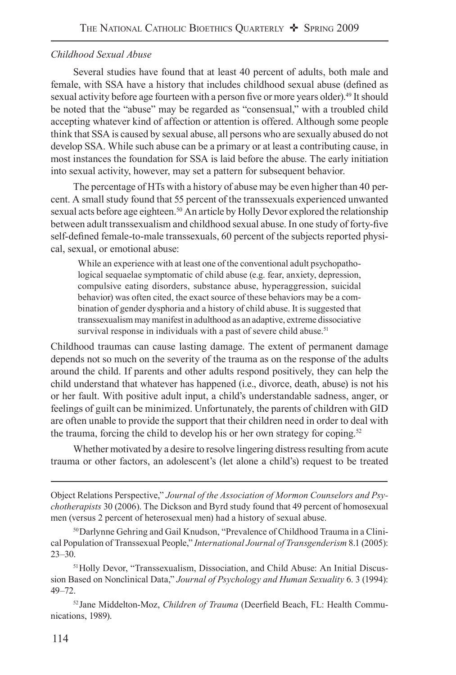# *Childhood Sexual Abuse*

Several studies have found that at least 40 percent of adults, both male and female, with SSA have a history that includes childhood sexual abuse (defined as sexual activity before age fourteen with a person five or more years older).<sup>49</sup> It should be noted that the "abuse" may be regarded as "consensual," with a troubled child accepting whatever kind of affection or attention is offered. Although some people think that SSA is caused by sexual abuse, all persons who are sexually abused do not develop SSA. While such abuse can be a primary or at least a contributing cause, in most instances the foundation for SSA is laid before the abuse. The early initiation into sexual activity, however, may set a pattern for subsequent behavior.

The percentage of HTs with a history of abuse may be even higher than 40 percent. A small study found that 55 percent of the transsexuals experienced unwanted sexual acts before age eighteen.<sup>50</sup> An article by Holly Devor explored the relationship between adult transsexualism and childhood sexual abuse. In one study of forty-five self-defined female-to-male transsexuals, 60 percent of the subjects reported physical, sexual, or emotional abuse:

While an experience with at least one of the conventional adult psychopathological sequaelae symptomatic of child abuse (e.g. fear, anxiety, depression, compulsive eating disorders, substance abuse, hyperaggression, suicidal behavior) was often cited, the exact source of these behaviors may be a combination of gender dysphoria and a history of child abuse. It is suggested that transsexualism maymanifest in adulthood as an adaptive, extreme dissociative survival response in individuals with a past of severe child abuse.<sup>51</sup>

Childhood traumas can cause lasting damage. The extent of permanent damage depends not so much on the severity of the trauma as on the response of the adults around the child. If parents and other adults respond positively, they can help the child understand that whatever has happened (i.e., divorce, death, abuse) is not his or her fault. With positive adult input, a child's understandable sadness, anger, or feelings of guilt can be minimized. Unfortunately, the parents of children with GID are often unable to provide the support that their children need in order to deal with the trauma, forcing the child to develop his or her own strategy for coping.52

Whether motivated by a desire to resolve lingering distress resulting from acute trauma or other factors, an adolescent's (let alone a child's) request to be treated

52 Jane Middelton-Moz, *Children of Trauma* (Deerfield Beach, FL: Health Communications, 1989).

Object Relations Perspective," *Journal of the Association of Mormon Counselors and Psychotherapists* 30 (2006). The Dickson and Byrd study found that 49 percent of homosexual men (versus 2 percent of heterosexual men) had a history of sexual abuse.

<sup>50</sup>Darlynne Gehring and Gail Knudson, "Prevalence of Childhood Trauma in a Clinical Population of Transsexual People," *International Journal of Transgenderism* 8.1 (2005): 23–30.

<sup>51</sup>Holly Devor, "Transsexualism, Dissociation, and Child Abuse: An Initial Discussion Based on Nonclinical Data," *Journal of Psychology and Human Sexuality* 6. 3 (1994): 49–72.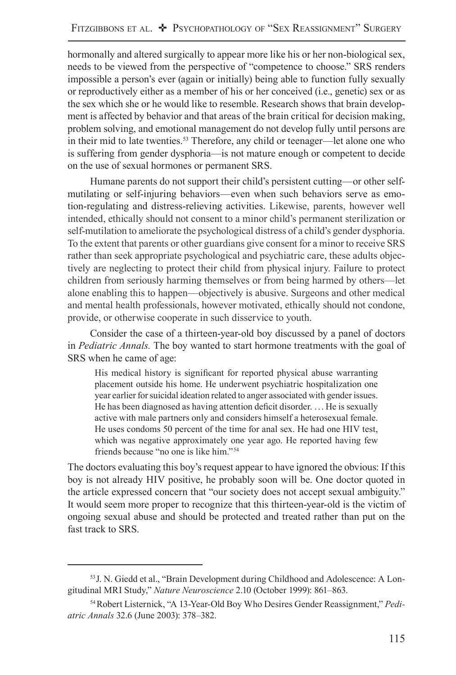hormonally and altered surgically to appear more like his or her non-biological sex, needs to be viewed from the perspective of "competence to choose." SRS renders impossible a person's ever (again or initially) being able to function fully sexually or reproductively either as a member of his or her conceived (i.e., genetic) sex or as the sex which she or he would like to resemble. Research shows that brain development is affected by behavior and that areas of the brain critical for decision making, problem solving, and emotional management do not develop fully until persons are in their mid to late twenties.<sup>53</sup> Therefore, any child or teenager—let alone one who is suffering from gender dysphoria—is not mature enough or competent to decide on the use of sexual hormones or permanent SRS.

Humane parents do not support their child's persistent cutting—or other selfmutilating or self-injuring behaviors—even when such behaviors serve as emotion-regulating and distress-relieving activities. Likewise, parents, however well intended, ethically should not consent to a minor child's permanent sterilization or self-mutilation to ameliorate the psychological distress of a child's gender dysphoria. To the extent that parents or other guardians give consent for a minor to receive SRS rather than seek appropriate psychological and psychiatric care, these adults objectively are neglecting to protect their child from physical injury. Failure to protect children from seriously harming themselves or from being harmed by others—let alone enabling this to happen—objectively is abusive. Surgeons and other medical and mental health professionals, however motivated, ethically should not condone, provide, or otherwise cooperate in such disservice to youth.

Consider the case of a thirteen-year-old boy discussed by a panel of doctors in *Pediatric Annals.* The boy wanted to start hormone treatments with the goal of SRS when he came of age:

His medical history is significant for reported physical abuse warranting placement outside his home. He underwent psychiatric hospitalization one year earlier for suicidal ideation related to anger associated with gender issues. He has been diagnosed as having attention deficit disorder. ... He is sexually active with male partners only and considers himself a heterosexual female. He uses condoms 50 percent of the time for anal sex. He had one HIV test, which was negative approximately one year ago. He reported having few friends because "no one is like him."54

The doctors evaluating this boy's request appear to have ignored the obvious: If this boy is not already HIV positive, he probably soon will be. One doctor quoted in the article expressed concern that "our society does not accept sexual ambiguity." It would seem more proper to recognize that this thirteen-year-old is the victim of ongoing sexual abuse and should be protected and treated rather than put on the fast track to SRS.

<sup>53</sup>J. N. Giedd et al., "Brain Development during Childhood and Adolescence: A Longitudinal MRI Study," *Nature Neuroscience* 2.10 (October 1999): 861–863.

<sup>54</sup>Robert Listernick, "A 13-Year-Old Boy Who Desires Gender Reassignment," *Pediatric Annals* 32.6 (June 2003): 378–382.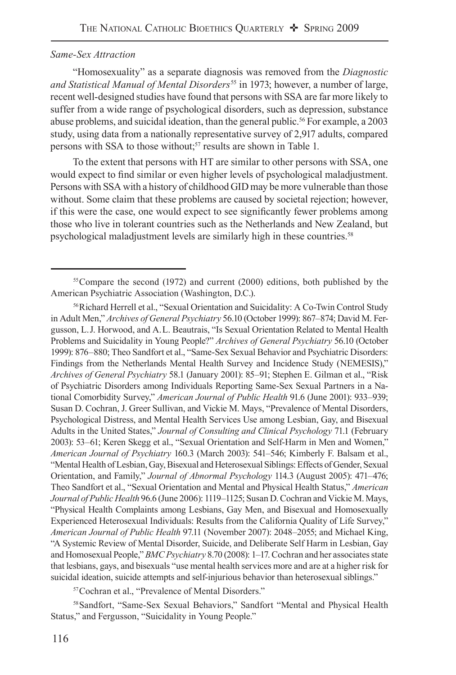#### *Same-Sex Attraction*

"Homosexuality" as a separate diagnosis was removed from the *Diagnostic*  and Statistical Manual of Mental Disorders<sup>55</sup> in 1973; however, a number of large, recent well-designed studies have found that persons with SSA are far more likely to suffer from a wide range of psychological disorders, such as depression, substance abuse problems, and suicidal ideation, than the general public.<sup>56</sup> For example, a 2003 study, using data from a nationally representative survey of 2,917 adults, compared persons with SSA to those without;<sup>57</sup> results are shown in Table 1.

To the extent that persons with HT are similar to other persons with SSA, one would expect to find similar or even higher levels of psychological maladjustment. Persons with SSA with a history of childhood GID may be more vulnerable than those without. Some claim that these problems are caused by societal rejection; however, if this were the case, one would expect to see significantly fewer problems among those who live in tolerant countries such as the Netherlands and New Zealand, but psychological maladjustment levels are similarly high in these countries.<sup>58</sup>

<sup>58</sup>Sandfort, "Same-Sex Sexual Behaviors," Sandfort "Mental and Physical Health Status," and Fergusson, "Suicidality in Young People."

<sup>55</sup>Compare the second (1972) and current (2000) editions, both published by the American Psychiatric Association (Washington, D.C.).

<sup>56</sup>Richard Herrell et al., "Sexual Orientation and Suicidality: A Co-Twin Control Study in Adult Men," *Archives of General Psychiatry* 56.10 (October 1999): 867–874; David M. Fergusson, L. J. Horwood, and A. L. Beautrais, "Is Sexual Orientation Related to Mental Health Problems and Suicidality in Young People?" *Archives of General Psychiatry* 56.10 (October 1999): 876–880; Theo Sandfort et al., "Same-Sex Sexual Behavior and Psychiatric Disorders: Findings from the Netherlands Mental Health Survey and Incidence Study (NEMESIS)," *Archives of General Psychiatry* 58.1 (January 2001): 85–91; Stephen E. Gilman et al., "Risk of Psychiatric Disorders among Individuals Reporting Same-Sex Sexual Partners in a National Comorbidity Survey," *American Journal of Public Health* 91.6 (June 2001): 933–939; Susan D. Cochran, J. Greer Sullivan, and Vickie M. Mays, "Prevalence of Mental Disorders, Psychological Distress, and Mental Health Services Use among Lesbian, Gay, and Bisexual Adults in the United States," *Journal of Consulting and Clinical Psychology* 71.1 (February 2003): 53–61; Keren Skegg et al., "Sexual Orientation and Self-Harm in Men and Women," *American Journal of Psychiatry* 160.3 (March 2003): 541–546; Kimberly F. Balsam et al., "Mental Health ofLesbian, Gay,Bisexual and Heterosexual Siblings:Effects of Gender, Sexual Orientation, and Family," *Journal of Abnormal Psychology* 114.3 (August 2005): 471–476; Theo Sandfort et al., "Sexual Orientation and Mental and Physical Health Status," *American Journal of Public Health* 96.6 (June 2006): 1119–1125; Susan D.Cochran and Vickie M. Mays, "Physical Health Complaints among Lesbians, Gay Men, and Bisexual and Homosexually Experienced Heterosexual Individuals: Results from the California Quality of Life Survey," *American Journal of Public Health* 97.11 (November 2007): 2048–2055; and Michael King, "A Systemic Review of Mental Disorder, Suicide, and Deliberate Self Harm in Lesbian, Gay and Homosexual People," *BMC Psychiatry* 8.70 (2008): 1–17.Cochran and her associatesstate that lesbians, gays, and bisexuals "use mental health services more and are at a higher risk for suicidal ideation, suicide attempts and self-injurious behavior than heterosexual siblings."

<sup>57</sup>Cochran et al., "Prevalence of Mental Disorders."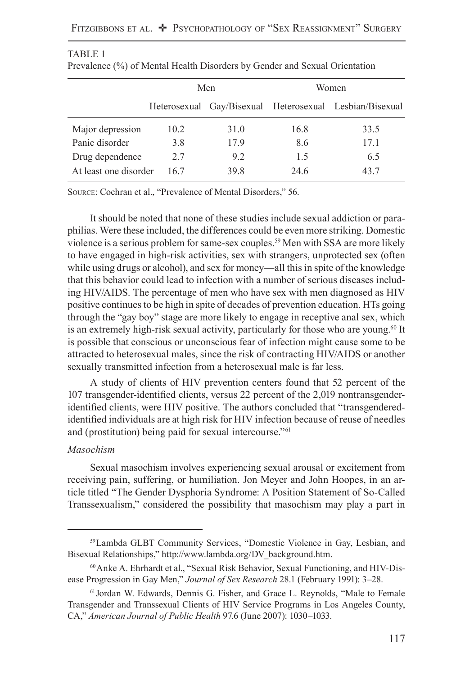|                       | Men  |      | Women |                                                         |
|-----------------------|------|------|-------|---------------------------------------------------------|
|                       |      |      |       | Heterosexual Gay/Bisexual Heterosexual Lesbian/Bisexual |
| Major depression      | 10.2 | 31.0 | 16.8  | 33.5                                                    |
| Panic disorder        | 3.8  | 179  | 8.6   | 17.1                                                    |
| Drug dependence       | 2.7  | 9.2  | 15    | 6.5                                                     |
| At least one disorder | 16.7 | 39 R | 24.6  | 43.7                                                    |

#### TABLE 1 Prevalence (%) of Mental Health Disorders by Gender and Sexual Orientation

Source: Cochran et al., "Prevalence of Mental Disorders," 56.

It should be noted that none of these studies include sexual addiction or paraphilias. Were these included, the differences could be even more striking. Domestic violence is a serious problem for same-sex couples.<sup>59</sup> Men with SSA are more likely to have engaged in high-risk activities, sex with strangers, unprotected sex (often while using drugs or alcohol), and sex for money—all this in spite of the knowledge that this behavior could lead to infection with a number of serious diseases including HIV/AIDS. The percentage of men who have sex with men diagnosed as HIV positive continues to be high in spite of decades of prevention education. HTs going through the "gay boy" stage are more likely to engage in receptive anal sex, which is an extremely high-risk sexual activity, particularly for those who are young.<sup>60</sup> It is possible that conscious or unconscious fear of infection might cause some to be attracted to heterosexual males, since the risk of contracting HIV/AIDS or another sexually transmitted infection from a heterosexual male is far less.

A study of clients of HIV prevention centers found that 52 percent of the 107 transgender-identified clients, versus 22 percent of the 2,019 nontransgenderidentified clients, were HIV positive. The authors concluded that "transgenderedidentified individuals are at high risk for HIV infection because of reuse of needles and (prostitution) being paid for sexual intercourse."<sup>61</sup>

# *Masochism*

Sexual masochism involves experiencing sexual arousal or excitement from receiving pain, suffering, or humiliation. Jon Meyer and John Hoopes, in an article titled "The Gender Dysphoria Syndrome: A Position Statement of So-Called Transsexualism," considered the possibility that masochism may play a part in

<sup>59</sup>Lambda GLBT Community Services, "Domestic Violence in Gay, Lesbian, and Bisexual Relationships," http://www.lambda.org/DV\_background.htm.

<sup>60</sup>Anke A. Ehrhardt et al., "Sexual Risk Behavior, Sexual Functioning, and HIV-Disease Progression in Gay Men," *Journal of Sex Research* 28.1 (February 1991): 3–28.

<sup>61</sup>Jordan W. Edwards, Dennis G. Fisher, and Grace L. Reynolds, "Male to Female Transgender and Transsexual Clients of HIV Service Programs in Los Angeles County, CA," *American Journal of Public Health* 97.6 (June 2007): 1030–1033.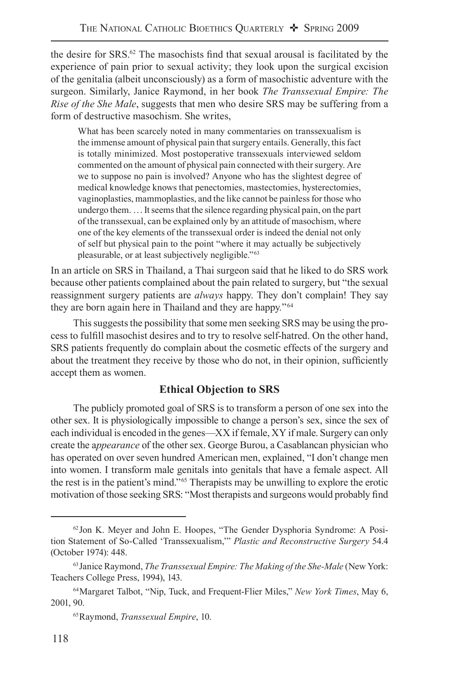the desire for SRS.62 The masochists find that sexual arousal is facilitated by the experience of pain prior to sexual activity; they look upon the surgical excision of the genitalia (albeit unconsciously) as a form of masochistic adventure with the surgeon. Similarly, Janice Raymond, in her book *The Transsexual Empire: The Rise of the She Male*, suggests that men who desire SRS may be suffering from a form of destructive masochism. She writes,

What has been scarcely noted in many commentaries on transsexualism is the immense amount of physical pain that surgery entails. Generally, this fact is totally minimized. Most postoperative transsexuals interviewed seldom commented on the amount of physical pain connected with their surgery. Are we to suppose no pain is involved? Anyone who has the slightest degree of medical knowledge knows that penectomies, mastectomies, hysterectomies, vaginoplasties, mammoplasties, and the like cannot be painless for those who undergo them. ... It seems that the silence regarding physical pain, on the part of the transsexual, can be explained only by an attitude of masochism, where one of the key elements of the transsexual order is indeed the denial not only of self but physical pain to the point "where it may actually be subjectively pleasurable, or at least subjectively negligible."<sup>63</sup>

In an article on SRS in Thailand, a Thai surgeon said that he liked to do SRS work because other patients complained about the pain related to surgery, but "the sexual reassignment surgery patients are *always* happy. They don't complain! They say they are born again here in Thailand and they are happy*.*"64

This suggests the possibility that some men seeking SRS may be using the process to fulfill masochist desires and to try to resolve self-hatred. On the other hand, SRS patients frequently do complain about the cosmetic effects of the surgery and about the treatment they receive by those who do not, in their opinion, sufficiently accept them as women.

# **Ethical Objection to SRS**

The publicly promoted goal of SRS is to transform a person of one sex into the other sex. It is physiologically impossible to change a person's sex, since the sex of each individual is encoded in the genes—XX if female, XY if male. Surgery can only create the a*ppearance* of the other sex. George Burou, a Casablancan physician who has operated on over seven hundred American men, explained, "I don't change men into women. I transform male genitals into genitals that have a female aspect. All the rest is in the patient's mind."<sup>65</sup> Therapists may be unwilling to explore the erotic motivation of those seeking SRS: "Most therapists and surgeons would probably find

<sup>62</sup>Jon K. Meyer and John E. Hoopes, "The Gender Dysphoria Syndrome: A Position Statement of So-Called 'Transsexualism,'" *Plastic and Reconstructive Surgery* 54.4 (October 1974): 448.

<sup>63</sup>Janice Raymond, *The Transsexual Empire: The Making of the She-Male* (New York: Teachers College Press, 1994), 143.

<sup>64</sup>Margaret Talbot, "Nip, Tuck, and Frequent-Flier Miles," *New York Times*, May 6, 2001, 90.

<sup>65</sup>Raymond, *Transsexual Empire*, 10.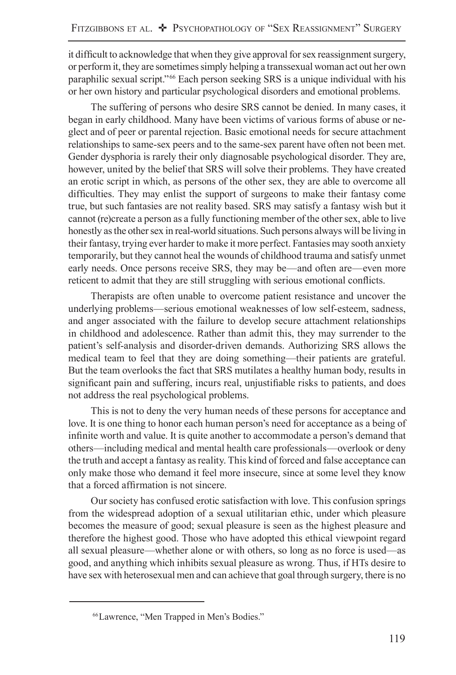it difficult to acknowledge that when they give approval for sex reassignment surgery, or perform it, they are sometimes simply helping a transsexual woman act out her own paraphilic sexual script."<sup>66</sup> Each person seeking SRS is a unique individual with his or her own history and particular psychological disorders and emotional problems.

The suffering of persons who desire SRS cannot be denied. In many cases, it began in early childhood. Many have been victims of various forms of abuse or neglect and of peer or parental rejection. Basic emotional needs for secure attachment relationships to same-sex peers and to the same-sex parent have often not been met. Gender dysphoria is rarely their only diagnosable psychological disorder. They are, however, united by the belief that SRS will solve their problems. They have created an erotic script in which, as persons of the other sex, they are able to overcome all difficulties. They may enlist the support of surgeons to make their fantasy come true, but such fantasies are not reality based. SRS may satisfy a fantasy wish but it cannot (re)create a person as a fully functioning member of the other sex, able to live honestly as the other sex in real-world situations. Such persons always will be living in their fantasy, trying ever harder to make it more perfect. Fantasies may sooth anxiety temporarily, but they cannot heal the wounds of childhood trauma and satisfy unmet early needs. Once persons receive SRS, they may be—and often are—even more reticent to admit that they are still struggling with serious emotional conflicts.

Therapists are often unable to overcome patient resistance and uncover the underlying problems—serious emotional weaknesses of low self-esteem, sadness, and anger associated with the failure to develop secure attachment relationships in childhood and adolescence. Rather than admit this, they may surrender to the patient's self-analysis and disorder-driven demands. Authorizing SRS allows the medical team to feel that they are doing something—their patients are grateful. But the team overlooks the fact that SRS mutilates a healthy human body, results in significant pain and suffering, incurs real, unjustifiable risks to patients, and does not address the real psychological problems.

This is not to deny the very human needs of these persons for acceptance and love. It is one thing to honor each human person's need for acceptance as a being of infinite worth and value. It is quite another to accommodate a person's demand that others—including medical and mental health care professionals—overlook or deny the truth and accept a fantasy as reality. This kind of forced and false acceptance can only make those who demand it feel more insecure, since at some level they know that a forced affirmation is not sincere.

Our society has confused erotic satisfaction with love. This confusion springs from the widespread adoption of a sexual utilitarian ethic, under which pleasure becomes the measure of good; sexual pleasure is seen as the highest pleasure and therefore the highest good. Those who have adopted this ethical viewpoint regard all sexual pleasure—whether alone or with others, so long as no force is used—as good, and anything which inhibits sexual pleasure as wrong. Thus, if HTs desire to have sex with heterosexual men and can achieve that goal through surgery, there is no

<sup>66</sup>Lawrence, "Men Trapped in Men's Bodies."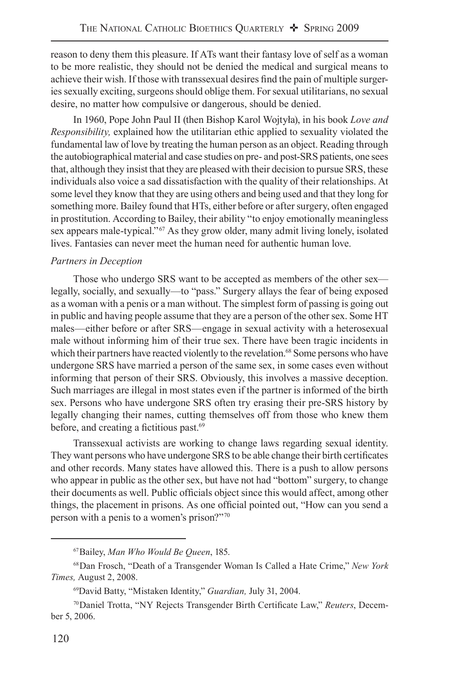reason to deny them this pleasure. If ATs want their fantasy love of self as a woman to be more realistic, they should not be denied the medical and surgical means to achieve their wish. If those with transsexual desires find the pain of multiple surgeries sexually exciting, surgeons should oblige them. For sexual utilitarians, no sexual desire, no matter how compulsive or dangerous, should be denied.

In 1960, Pope John Paul II (then Bishop Karol Wojtyła), in his book *Love and Responsibility,* explained how the utilitarian ethic applied to sexuality violated the fundamental law of love by treating the human person as an object. Reading through the autobiographical material and case studies on pre- and post-SRS patients, one sees that, although they insist that they are pleased with their decision to pursue SRS, these individuals also voice a sad dissatisfaction with the quality of their relationships. At some level they know that they are using others and being used and that they long for something more. Bailey found that HTs, either before or after surgery, often engaged in prostitution. According to Bailey, their ability "to enjoy emotionally meaningless sex appears male-typical."<sup>67</sup> As they grow older, many admit living lonely, isolated lives. Fantasies can never meet the human need for authentic human love.

# *Partners in Deception*

Those who undergo SRS want to be accepted as members of the other sex legally, socially, and sexually—to "pass." Surgery allays the fear of being exposed as a woman with a penis or a man without. The simplest form of passing is going out in public and having people assume that they are a person of the other sex. Some HT males—either before or after SRS—engage in sexual activity with a heterosexual male without informing him of their true sex. There have been tragic incidents in which their partners have reacted violently to the revelation.<sup>68</sup> Some persons who have undergone SRS have married a person of the same sex, in some cases even without informing that person of their SRS. Obviously, this involves a massive deception. Such marriages are illegal in most states even if the partner is informed of the birth sex. Persons who have undergone SRS often try erasing their pre-SRS history by legally changing their names, cutting themselves off from those who knew them before, and creating a fictitious past.<sup>69</sup>

Transsexual activists are working to change laws regarding sexual identity. They want persons who have undergone SRS to be able change their birth certificates and other records. Many states have allowed this. There is a push to allow persons who appear in public as the other sex, but have not had "bottom" surgery, to change their documents as well. Public officials object since this would affect, among other things, the placement in prisons. As one official pointed out, "How can you send a person with a penis to a women's prison?"<sup>70</sup>

<sup>67</sup>Bailey, *Man Who Would Be Queen*, 185.

<sup>68</sup>Dan Frosch, "Death of a Transgender Woman Is Called a Hate Crime," *New York Times,* August 2, 2008.

<sup>69</sup>David Batty, "Mistaken Identity," *Guardian,* July 31, 2004.

<sup>70</sup>Daniel Trotta, "NY Rejects Transgender Birth Certificate Law," *Reuters*, December 5, 2006.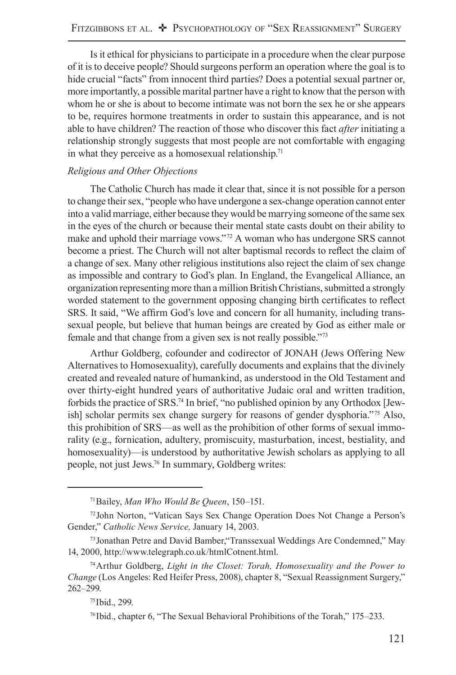Is it ethical for physicians to participate in a procedure when the clear purpose of it isto deceive people? Should surgeons perform an operation where the goal isto hide crucial "facts" from innocent third parties? Does a potential sexual partner or, more importantly, a possible marital partner have a right to know that the person with whom he or she is about to become intimate was not born the sex he or she appears to be, requires hormone treatments in order to sustain this appearance, and is not able to have children? The reaction of those who discover this fact *after* initiating a relationship strongly suggests that most people are not comfortable with engaging in what they perceive as a homosexual relationship.<sup>71</sup>

# *Religious and Other Objections*

The Catholic Church has made it clear that, since it is not possible for a person to change their sex, "people who have undergone a sex-change operation cannot enter into a valid marriage, either because they would be marrying someone of the same sex in the eyes of the church or because their mental state casts doubt on their ability to make and uphold their marriage vows."<sup>72</sup> A woman who has undergone SRS cannot become a priest. The Church will not alter baptismal records to reflect the claim of a change of sex. Many other religious institutions also reject the claim of sex change as impossible and contrary to God's plan. In England, the Evangelical Alliance, an organization representing more than a million British Christians, submitted a strongly worded statement to the government opposing changing birth certificates to reflect SRS. It said, "We affirm God's love and concern for all humanity, including transsexual people, but believe that human beings are created by God as either male or female and that change from a given sex is not really possible."<sup>73</sup>

Arthur Goldberg, cofounder and codirector of JONAH (Jews Offering New Alternatives to Homosexuality), carefully documents and explains that the divinely created and revealed nature of humankind, as understood in the Old Testament and over thirty-eight hundred years of authoritative Judaic oral and written tradition, forbids the practice of SRS.<sup>74</sup> In brief, "no published opinion by any Orthodox [Jewish] scholar permits sex change surgery for reasons of gender dysphoria."<sup>75</sup> Also, this prohibition of SRS—as well as the prohibition of other forms of sexual immorality (e.g., fornication, adultery, promiscuity, masturbation, incest, bestiality, and homosexuality)—is understood by authoritative Jewish scholars as applying to all people, not just Jews.76 In summary, Goldberg writes:

<sup>71</sup>Bailey, *Man Who Would Be Queen*, 150–151.

<sup>72</sup>John Norton, "Vatican Says Sex Change Operation Does Not Change a Person's Gender," *Catholic News Service,* January 14, 2003.

<sup>73</sup>Jonathan Petre and David Bamber,"Transsexual Weddings Are Condemned," May 14, 2000, http://www.telegraph.co.uk/htmlCotnent.html.

<sup>74</sup>Arthur Goldberg, *Light in the Closet: Torah, Homosexuality and the Power to Change* (Los Angeles: Red Heifer Press, 2008), chapter 8, "Sexual Reassignment Surgery," 262–299.

<sup>75</sup>Ibid., 299.

<sup>76</sup>Ibid., chapter 6, "The Sexual Behavioral Prohibitions of the Torah," 175–233.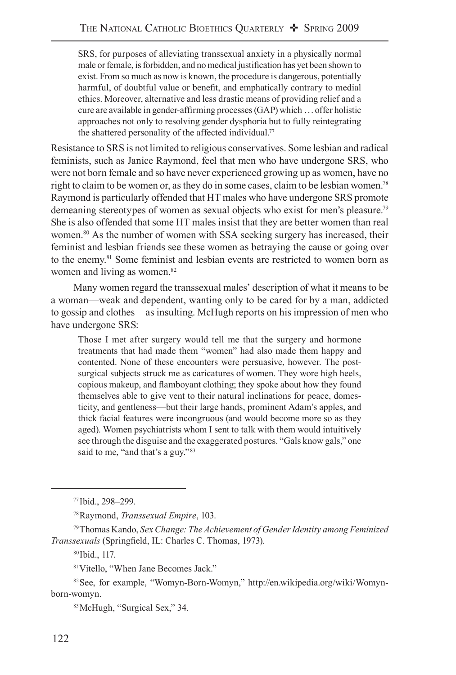SRS, for purposes of alleviating transsexual anxiety in a physically normal male or female, is forbidden, and no medical justification has yet been shown to exist. From so much as now is known, the procedure is dangerous, potentially harmful, of doubtful value or benefit, and emphatically contrary to medial ethics. Moreover, alternative and less drastic means of providing relief and a cure are available in gender-affirming processes (GAP) which ... offer holistic approaches not only to resolving gender dysphoria but to fully reintegrating the shattered personality of the affected individual.<sup>77</sup>

Resistance to SRS is not limited to religious conservatives. Some lesbian and radical feminists, such as Janice Raymond, feel that men who have undergone SRS, who were not born female and so have never experienced growing up as women, have no right to claim to be women or, as they do in some cases, claim to be lesbian women.<sup>78</sup> Raymond is particularly offended that HT males who have undergone SRS promote demeaning stereotypes of women as sexual objects who exist for men's pleasure.79 She is also offended that some HT males insist that they are better women than real women.<sup>80</sup> As the number of women with SSA seeking surgery has increased, their feminist and lesbian friends see these women as betraying the cause or going over to the enemy.<sup>81</sup> Some feminist and lesbian events are restricted to women born as women and living as women.<sup>82</sup>

Many women regard the transsexual males' description of what it means to be a woman—weak and dependent, wanting only to be cared for by a man, addicted to gossip and clothes—as insulting. McHugh reports on his impression of men who have undergone SRS:

Those I met after surgery would tell me that the surgery and hormone treatments that had made them "women" had also made them happy and contented. None of these encounters were persuasive, however. The postsurgical subjects struck me as caricatures of women. They wore high heels, copious makeup, and flamboyant clothing; they spoke about how they found themselves able to give vent to their natural inclinations for peace, domesticity, and gentleness—but their large hands, prominent Adam's apples, and thick facial features were incongruous (and would become more so as they aged). Women psychiatrists whom I sent to talk with them would intuitively see through the disguise and the exaggerated postures. "Gals know gals," one said to me, "and that's a guy."<sup>83</sup>

<sup>81</sup>Vitello, "When Jane Becomes Jack."

82 See, for example, "Womyn-Born-Womyn," http://en.wikipedia.org/wiki/Womynborn-womyn.

83 McHugh, "Surgical Sex," 34.

<sup>77</sup>Ibid., 298–299.

<sup>78</sup>Raymond, *Transsexual Empire*, 103.

<sup>79</sup>Thomas Kando, *Sex Change: The Achievement of Gender Identity among Feminized Transsexuals* (Springfield, IL: Charles C. Thomas, 1973).

<sup>80</sup>Ibid., 117.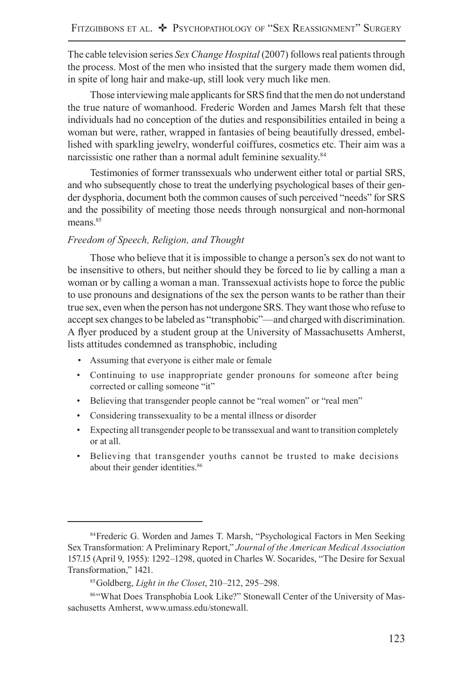The cable television series *Sex Change Hospital* (2007) follows real patients through the process. Most of the men who insisted that the surgery made them women did, in spite of long hair and make-up, still look very much like men.

Those interviewing male applicants for SRS find that the men do not understand the true nature of womanhood. Frederic Worden and James Marsh felt that these individuals had no conception of the duties and responsibilities entailed in being a woman but were, rather, wrapped in fantasies of being beautifully dressed, embellished with sparkling jewelry, wonderful coiffures, cosmetics etc. Their aim was a narcissistic one rather than a normal adult feminine sexuality.<sup>84</sup>

Testimonies of former transsexuals who underwent either total or partial SRS, and who subsequently chose to treat the underlying psychological bases of their gender dysphoria, document both the common causes of such perceived "needs" for SRS and the possibility of meeting those needs through nonsurgical and non-hormonal means<sup>85</sup>

#### *Freedom of Speech, Religion, and Thought*

Those who believe that it is impossible to change a person's sex do not want to be insensitive to others, but neither should they be forced to lie by calling a man a woman or by calling a woman a man. Transsexual activists hope to force the public to use pronouns and designations of the sex the person wants to be rather than their true sex, even when the person has not undergone SRS. They want those who refuse to accept sex changes to be labeled as "transphobic"—and charged with discrimination. A flyer produced by a student group at the University of Massachusetts Amherst, lists attitudes condemned as transphobic, including

- Assuming that everyone is either male or female
- Continuing to use inappropriate gender pronouns for someone after being corrected or calling someone "it"
- Believing that transgender people cannot be "real women" or "real men"
- Considering transsexuality to be a mental illness or disorder
- Expecting all transgender people to be transsexual and want to transition completely or at all.
- Believing that transgender youths cannot be trusted to make decisions about their gender identities.<sup>86</sup>

<sup>84</sup>Frederic G. Worden and James T. Marsh, "Psychological Factors in Men Seeking Sex Transformation: A Preliminary Report," *Journal of the American Medical Association* 157.15 (April 9, 1955): 1292–1298, quoted in Charles W. Socarides, "The Desire for Sexual Transformation," 1421.

<sup>85</sup>Goldberg, *Light in the Closet*, 210–212, 295–298.

<sup>86&</sup>lt;sup>*c*</sup>What Does Transphobia Look Like?" Stonewall Center of the University of Massachusetts Amherst, www.umass.edu/stonewall.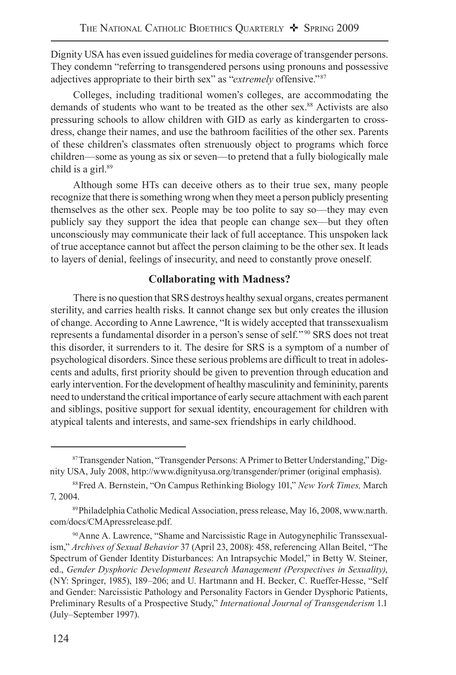Dignity USA has even issued guidelines for media coverage of transgender persons. They condemn "referring to transgendered persons using pronouns and possessive adjectives appropriate to their birth sex" as "*extremely* offensive."<sup>87</sup>

Colleges, including traditional women's colleges, are accommodating the demands of students who want to be treated as the other sex.<sup>88</sup> Activists are also pressuring schools to allow children with GID as early as kindergarten to crossdress, change their names, and use the bathroom facilities of the other sex. Parents of these children's classmates often strenuously object to programs which force children—some as young as six or seven—to pretend that a fully biologically male child is a girl.<sup>89</sup>

Although some HTs can deceive others as to their true sex, many people recognize that there is something wrong when they meet a person publicly presenting themselves as the other sex. People may be too polite to say so—they may even publicly say they support the idea that people can change sex—but they often unconsciously may communicate their lack of full acceptance. This unspoken lack of true acceptance cannot but affect the person claiming to be the other sex. It leads to layers of denial, feelings of insecurity, and need to constantly prove oneself.

# **Collaborating with Madness?**

There is no question that SRS destroys healthy sexual organs, creates permanent sterility, and carries health risks. It cannot change sex but only creates the illusion of change. According to Anne Lawrence, "It is widely accepted that transsexualism represents a fundamental disorder in a person's sense of self." <sup>90</sup> SRS does not treat this disorder, it surrenders to it. The desire for SRS is a symptom of a number of psychological disorders. Since these serious problems are difficult to treat in adolescents and adults, first priority should be given to prevention through education and early intervention. Forthe development of healthy masculinity and femininity, parents need to understand the critical importance of early secure attachment with each parent and siblings, positive support for sexual identity, encouragement for children with atypical talents and interests, and same-sex friendships in early childhood.

<sup>87</sup>Transgender Nation, "Transgender Persons: A Primer to Better Understanding," Dignity USA, July 2008, http://www.dignityusa.org/transgender/primer (original emphasis).

<sup>88</sup>Fred A. Bernstein, "On Campus Rethinking Biology 101," *New York Times,* March 7, 2004.

<sup>89</sup>Philadelphia Catholic Medical Association, pressrelease, May 16, 2008, www.narth. com/docs/CMApressrelease.pdf.

<sup>90</sup>Anne A. Lawrence, "Shame and Narcissistic Rage in Autogynephilic Transsexualism," *Archives of Sexual Behavior* 37 (April 23, 2008): 458, referencing Allan Beitel, "The Spectrum of Gender Identity Disturbances: An Intrapsychic Model," in Betty W. Steiner, ed., *Gender Dysphoric Development Research Management (Perspectives in Sexuality)*, (NY: Springer, 1985), 189–206; and U. Hartmann and H. Becker, C. Rueffer-Hesse, "Self and Gender: Narcissistic Pathology and Personality Factors in Gender Dysphoric Patients, Preliminary Results of a Prospective Study," *International Journal of Transgenderism* 1.1 (July–September 1997).